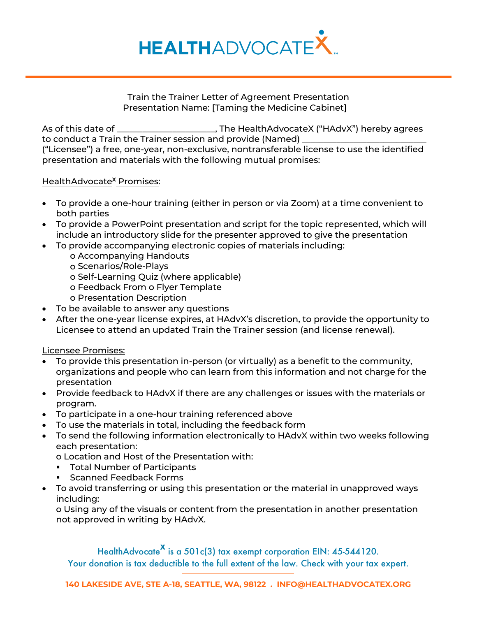

## Train the Trainer Letter of Agreement Presentation Presentation Name: [Taming the Medicine Cabinet]

As of this date of \_\_\_\_\_\_\_\_\_\_\_\_\_\_\_\_\_\_\_\_\_\_, The HealthAdvocateX ("HAdvX") hereby agrees to conduct a Train the Trainer session and provide (Named) ("Licensee") a free, one-year, non-exclusive, nontransferable license to use the identified presentation and materials with the following mutual promises:

## HealthAdvocate<sup>X</sup> Promises:

- To provide a one-hour training (either in person or via Zoom) at a time convenient to both parties
- To provide a PowerPoint presentation and script for the topic represented, which will include an introductory slide for the presenter approved to give the presentation
- To provide accompanying electronic copies of materials including:
	- o Accompanying Handouts
	- o Scenarios/Role-Plays
	- o Self-Learning Quiz (where applicable)
	- o Feedback From o Flyer Template
	- o Presentation Description
- To be available to answer any questions
- After the one-year license expires, at HAdvX's discretion, to provide the opportunity to Licensee to attend an updated Train the Trainer session (and license renewal).

## Licensee Promises:

- To provide this presentation in-person (or virtually) as a benefit to the community, organizations and people who can learn from this information and not charge for the presentation
- Provide feedback to HAdvX if there are any challenges or issues with the materials or program.
- To participate in a one-hour training referenced above
- To use the materials in total, including the feedback form
- To send the following information electronically to HAdvX within two weeks following each presentation:

o Location and Host of the Presentation with:

- **Total Number of Participants**
- **Scanned Feedback Forms**
- To avoid transferring or using this presentation or the material in unapproved ways including:

o Using any of the visuals or content from the presentation in another presentation not approved in writing by HAdvX.

HealthAdvocate<sup>X</sup> is a 501c(3) tax exempt corporation EIN: 45-544120.

Your donation is tax deductible to the full extent of the law. Check with your tax expert.